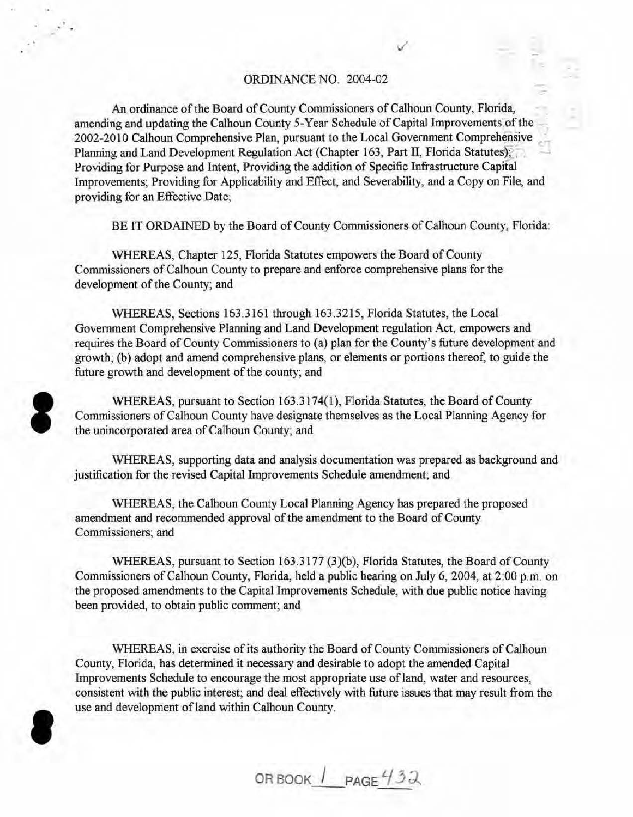#### ORDINANCE NO. 2004-02

An ordinance of the Board of County Commissioners of Calhoun County, Florida, amending and updating the Calhoun County 5-Year Schedule of Capital Improvements of the 2002-2010 Calhoun Comprehensive Plan, pursuant to the Local Government Comprehensive Planning and Land Development Regulation Act (Chapter 163, Part II, Florida Statutes); Providing for Purpose and Intent, Providing the addition of Specific Infrastructure Capital Improvements; Providing for Applicability and Effect, and Severability, and a Copy on File, and providing for an Effective Date;

BE IT ORDAINED by the Board of County Commissioners of Calhoun County, Florida:

WHEREAS, Chapter 125, Florida Statutes empowers the Board of County Commissioners of Calhoun County to prepare and enforce comprehensive plans for the development of the County; and

WHEREAS, Sections 163.3161 through 163.3215, Florida Statutes, the Local Government Comprehensive Planning and Land Development regulation Act, empowers and requires the Board of County Commissioners to (a) plan for the County's future development and growth; (b) adopt and amend comprehensive plans, or elements or portions thereof, to guide the future growth and development of the county; and



WHEREAS, pursuant to Section 163.3174(1), Florida Statutes, the Board of County Commissioners of Calhoun County have designate themselves as the Local Planning Agency for the unincorporated area of Calhoun County; and

WHEREAS, supporting data and analysis documentation was prepared as background and justification for the revised Capital Improvements Schedule amendment; and

WHEREAS, the Calhoun County Local Planning Agency has prepared the proposed amendment and recommended approval of the amendment to the Board of County Commissioners; and

WHEREAS, pursuant to Section 163.3177 (3)(b), Florida Statutes, the Board of County Commissioners of Calhoun County, Florida, held a public hearing on July 6, 2004, at 2:00 p.m. on the proposed amendments to the Capital Improvements Schedule, with due public notice having been provided, to obtain public comment; and

WHEREAS, in exercise of its authority the Board of County Commissioners of Calhoun County, Florida, has determined it necessary and desirable to adopt the amended Capital Improvements Schedule to encourage the most appropriate use of land, water and resources, consistent with the public interest; and deal effectively with future issues that may result from the use and development of land within Calhoun County.

**e** 

OR BOOK  $I$  PAGE  $432$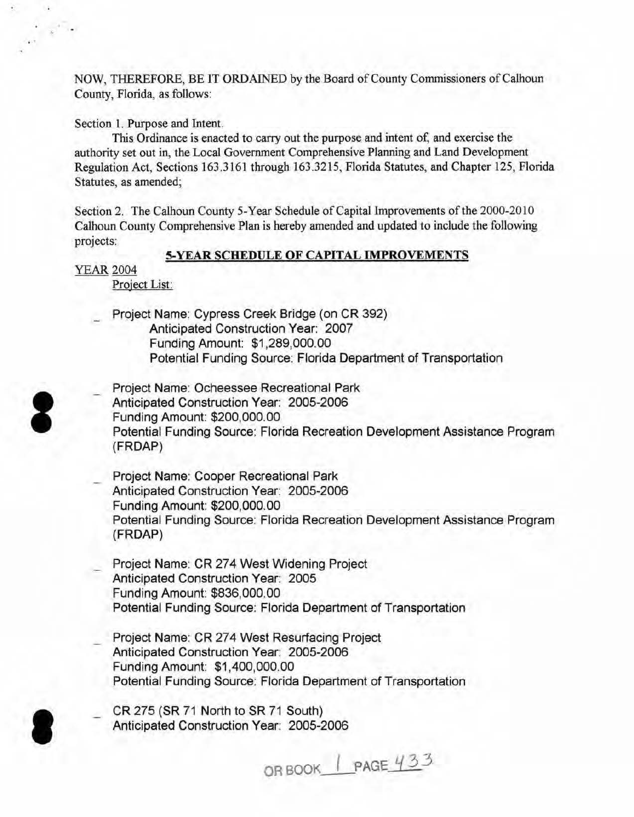NOW, THEREFORE, BE IT ORDAINED by the Board of County Commissioners of Calhoun County, Florida, as follows:

Section 1. Purpose and Intent.

This Ordinance is enacted to carry out the purpose and intent of, and exercise the authority set out in, the Local Government Comprehensive Planning and Land Development Regulation Act, Sections 163.3161 through 163.3215, Florida Statutes, and Chapter 125, Florida Statutes, as amended;

Section 2. The Calhoun County 5-Year Schedule of Capital Improvements of the 2000-2010 Calhoun County Comprehensive Plan is hereby amended and updated to include the following projects:

#### 5-YEAR SCHEDULE OF CAPITAL IMPROVEMENTS

YEAR 2004

Project List:

Project Name: Cypress Creek Bridge (on CR 392) Anticipated Construction Year: 2007 Funding Amount: \$1 ,289,000.00 Potential Funding Source: Florida Department of Transportation

- Project Name: Ocheessee Recreational Park Anticipated Construction Year: 2005-2006 Funding Amount: \$200,000.00 Potential Funding Source: Florida Recreation Development Assistance Program (FRDAP)
	- Project Name: Cooper Recreational Park Anticipated Construction Year: 2005-2006 Funding Amount: \$200,000.00 Potential Funding Source: Florida Recreation Development Assistance Program (FRDAP)
	- Project Name: CR 274 West Widening Project Anticipated Construction Year: 2005 Funding Amount: \$836,000.00 Potential Funding Source: Florida Department of Transportation
	- Project Name: CR 274 West Resurfacing Project Anticipated Construction Year: 2005-2006 Funding Amount: \$1,400,000.00 Potential Funding Source: Florida Department of Transportation

\_ CR 275 (SR 71 North to SR 71 South) Anticipated Construction Year: 2005-2006

OR BOOK | PAGE 433



I

..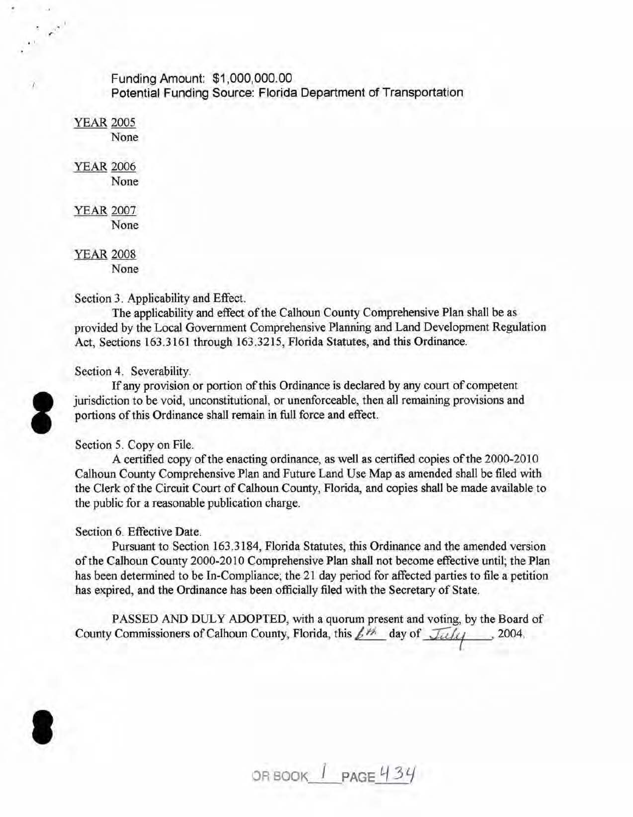### Funding Amount: \$1,000,000.00 Potential Funding Source: Florida Department of Transportation

**YEAR 2005** None

*r*  . '

**YEAR 2006** 

None

YEAR 2007 None

**YEAR 2008** None

## Section 3. Applicability and Effect.

The applicability and effect of the Calhoun County Comprehensive Plan shall be as provided by the Local Government Comprehensive Planning and Land Development Regulation Act, Sections 163.3161 through 163.3215, Florida Statutes, and this Ordinance.

## Section 4. Severability.

If any provision or portion of this Ordinance is declared by any court of competent jurisdiction to be void, unconstitutional, or unenforceable, then all remaining provisions and portions of this Ordinance shall remain in full force and effect.

# Section 5. Copy on File.

A certified copy of the enacting ordinance, as well as certified copies of the 2000-2010 Calhoun County Comprehensive Plan and Future Land Use Map as amended shall be filed with the Clerk of the Circuit Court of Calhoun County, Florida, and copies shall be made available to the public for a reasonable publication charge.

# Section 6. Effective Date.

Pursuant to Section 163.3184, Florida Statutes, this Ordinance and the amended version of the Calhoun County 2000-2010 Comprehensive Plan shall not become effective until; the Plan has been determined to be In-Compliance; the 21 day period for affected parties to file a petition has expired, and the Ordinance has been officially filed with the Secretary of State.

PASSED AND DULY ADOPTED, with a quorum present and voting, by the Board of County Commissioners of Calhoun County, Florida, this  $\frac{f^{\frac{1}{1-\epsilon}}}{f^{\frac{1}{1-\epsilon}}}$  day of  $\frac{f^{\frac{1}{1-\epsilon}}}{f^{\frac{1}{1-\epsilon}}}$ , 2004, I

OR BOOK  $I$  **PAGE 434** 



I